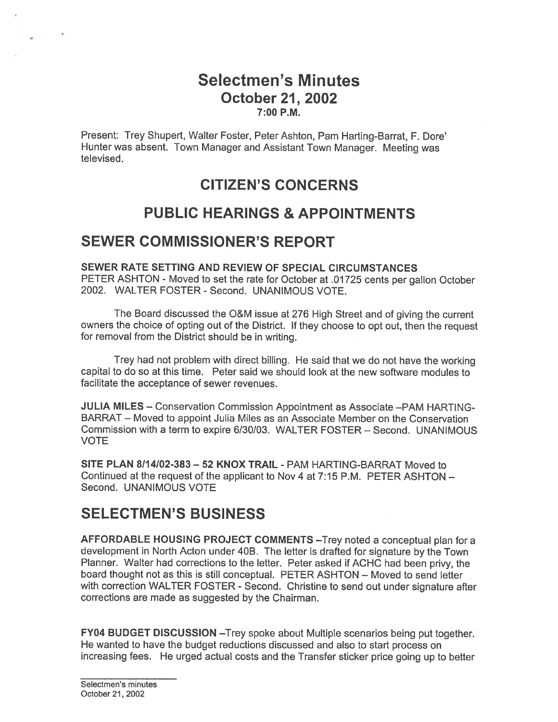# Selectmen's Minutes October 21, 2002 7:00 P.M.

Present: Trey Shupert, Walter Foster, Peter Ashton, Pam Harting-Barrat, F. Dore' Hunter was absent. Town Manager and Assistant Town Manager. Meeting was televised.

# CITIZEN'S CONCERNS

# PUBLIC HEARINGS & APPOINTMENTS

# SEWER COMMISSIONER'S REPORT

SEWER RATE SETTING AND REVIEW OF SPECIAL CIRCUMSTANCES PETER ASHTON - Moved to set the rate for October at .01725 cents per gallon October 2002. WALTER FOSTER -Second. UNANIMOUS VOTE.

The Board discussed the O&M issue at <sup>276</sup> High Street and of <sup>g</sup>iving the current owners the choice of opting out of the District. If they choose to op<sup>t</sup> out, then the reques<sup>t</sup> for removal from the District should be in writing.

Trey had not problem with direct billing. He said that we do not have the working capital to do so at this time. Peter said we should look at the new software modules to facilitate the acceptance of sewer revenues.

JULIA MILES — Conservation Commission Appointment as Associate —PAM HARTING BARRAT — Moved to appoint Julia Miles as an Associate Member on the Conservation Commission with <sup>a</sup> term to expire 6/30/03. WALTER FOSTER — Second. UNANIMOUS VOTE

SITE PLAN 8114102-383—52 KNOX TRAIL - PAM HARTING-BARRAT Moved to Continued at the request of the applicant to Nov 4 at 7:15 P.M. PETER ASHTON -Second. UNANIMOUS VOTE

# SELECTMEN'S BUSINESS

AFFORDABLE HOUSING PROJECT COMMENTS —Trey noted <sup>a</sup> conceptual <sup>p</sup>lan for <sup>a</sup> development in North Acton under 40B. The letter is drafted for signature by the Town Planner. Walter had corrections to the letter. Peter asked if ACHC had been privy, the board thought not as this is still conceptual. PETER ASHTON — Moved to send letter with correction WALTER FOSTER - Second. Christine to send out under signature after corrections are made as suggested by the Chairman.

FY04 BUDGET DISCUSSION —Trey spoke about Multiple scenarios being pu<sup>t</sup> together. He wanted to have the budget reductions discussed and also to start process on increasing fees. He urged actual costs and the Transfer sticker price going up to better

Selectmen's minutes October 21, 2002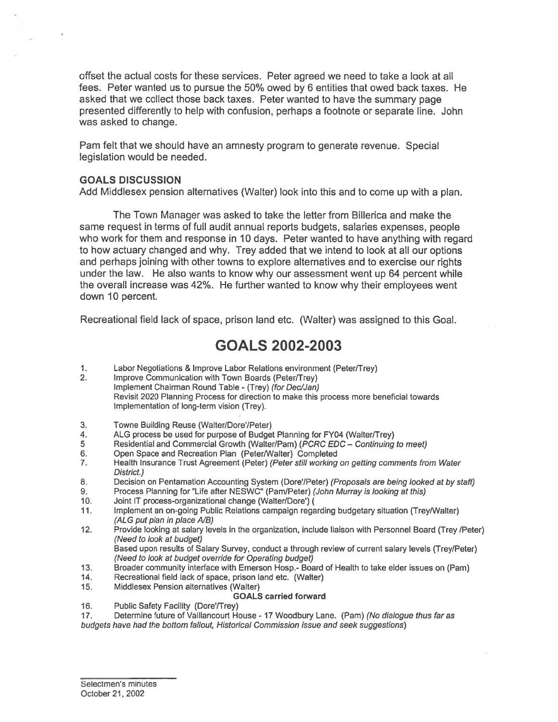offset the actual costs for these services. Peter agreed we need to take <sup>a</sup> look at all fees. Peter wanted us to pursue the 50% owed by 6 entities that owed back taxes. He asked that we collect those back taxes. Peter wanted to have the summary page presented differently to help with confusion, perhaps <sup>a</sup> footnote or separate line. John was asked to change.

Pam felt that we should have an amnesty program to generate revenue. Special legislation would be needed.

### GOALS DISCUSSION

Add Middlesex pension alternatives (Walter) look into this and to come up with <sup>a</sup> <sup>p</sup>lan.

The Town Manager was asked to take the letter from Billerica and make the same reques<sup>t</sup> in terms of full audit annual reports budgets, salaries expenses, people who work for them and response in 10 days. Peter wanted to have anything with regard to how actuary changed and why. Trey added that we intend to look at all our options and perhaps joining with other towns to explore alternatives and to exercise our rights under the law. He also wants to know why our assessment went up 64 percen<sup>t</sup> while the overall increase was 42%. He further wanted to know why their employees went down 10 percent.

Recreational field lack of space, prison land etc. (Walter) was assigned to this Goal.

# GOALS 2002-2003

- 1. Labor Negotiations & Improve Labor Relations environment (Peter/Trey)
- 2. Improve Communication with Town Boards (Peter/Trey) Implement Chairman Round Table - (Trey) (for Dec/Jan) Revisit 2020 Planning Process for direction to make this process more beneficial towards Implementation of long-term vision (Trey).
- 3. Towne Building Reuse (Walter/Dore/Peter)
- 4. ALG process be used for purpose of Budget Planning for FY04 (Walter/Trey)<br>5 Residential and Commercial Growth (Walter/Pam) (*PCRC EDC Continuing*
- Residential and Commercial Growth (Walter/Pam) (PCRC EDC Continuing to meet)
- 6. Open Space and Recreation Plan (Peter/Walter) Completed
- 7. Health Insurance Trust Agreement (Peter) (Peter still working on getting comments from Water District.)
- 8. Decision on Pentamation Accounting System (Dore'/Peter) (Proposals are being looked at by staff)
- 9. Process Planning for "Life after NESWC" (Pam/Peter) (John Murray is looking at this)
- 10. Joint IT process-organizational change (Walter/Dore')
- 11. Implement an on-going Public Relations campaign regarding budgetary situation (Trey/Walter) (ALG put plan in place A/B)
- 12. Provide looking at salary levels in the organization, include liaison with Personnel Board (Trey /Peter) (Need to look at budget)

Based upon results of Salary Survey, conduct <sup>a</sup> through review of current salary levels (Trey/Peter) (Need to look at budget override for Operating budget)

- 13. Broader community interface with Emerson Hosp.- Board of Health to take elder issues on (Pam)
- 14. Recreational field lack of space, prison land etc. (Walter)
- 15. Middlesex Pension alternatives (Walter)

### GOALS carried forward

16. Public Safety Facility (Dore'/Trey)

17. Determine future of Vaillancourt House - 17 Woodbury Lane. (Pam) (No dialogue thus far as budgets have had the bottom fallout, Historical Commission issue and seek suggestions)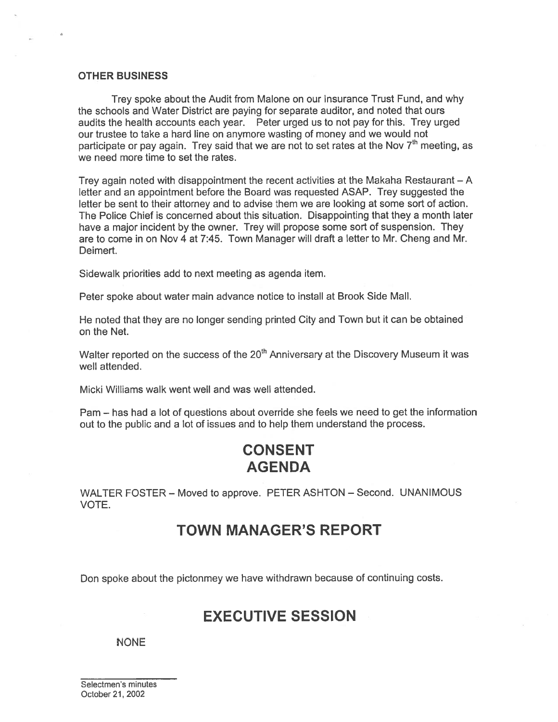### OTHER BUSINESS

Trey spoke about the Audit from Malone on our Insurance Trust Fund, and why the schools and Water District are paying for separate auditor, and noted that ours audits the health accounts each year. Peter urged us to not pay for this. Trey urged our trustee to take <sup>a</sup> hard line on anymore wasting of money and we would not participate or pay again. Trey said that we are not to set rates at the Nov  $7<sup>th</sup>$  meeting, as we need more time to set the rates.

Trey again noted with disappointment the recent activities at the Makaha Restaurant — A letter and an appointment before the Board was requested ASAP. Trey suggested the letter be sent to their attorney and to advise them we are looking at some sort of action. The Police Chief is concerned about this situation. Disappointing that they <sup>a</sup> month later have <sup>a</sup> major incident by the owner. Trey will propose some sort of suspension. They are to come in on Nov 4 at 7:45. Town Manager will draft <sup>a</sup> letter to Mr. Cheng and Mr. Deimert.

Sidewalk priorities add to next meeting as agenda item.

Peter spoke about water main advance notice to install at Brook Side Mall.

He noted that they are no longer sending printed City and Town but it can be obtained on the Net.

Walter reported on the success of the  $20<sup>th</sup>$  Anniversary at the Discovery Museum it was well attended.

Micki Williams walk went well and was well attended.

Pam — has had <sup>a</sup> lot of questions about override she feels we need to ge<sup>t</sup> the information out to the public and <sup>a</sup> lot of issues and to help them understand the process.

# **CONSENT** AGENDA

WALTER FOSTER — Moved to approve. PETER ASHTON — Second. UNANIMOUS VOTE.

# TOWN MANAGER'S REPORT

Don spoke about the pictonmey we have withdrawn because of continuing costs.

## EXECUTIVE SESSION

### NONE

Selectmen's minutes October 21, 2002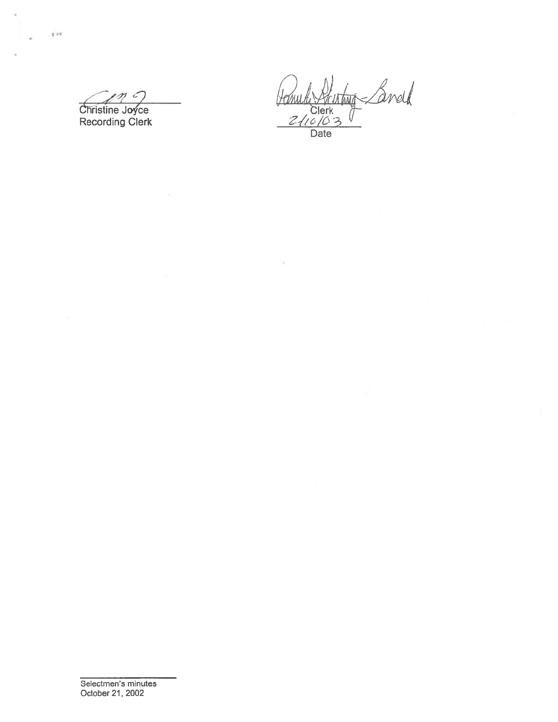$\mathcal{L}$ Christine Joyce

**Recording Clerk** 

, give

Landd Jame **intant** Clerk<br>Clerk<br>2/10/03<br>Date I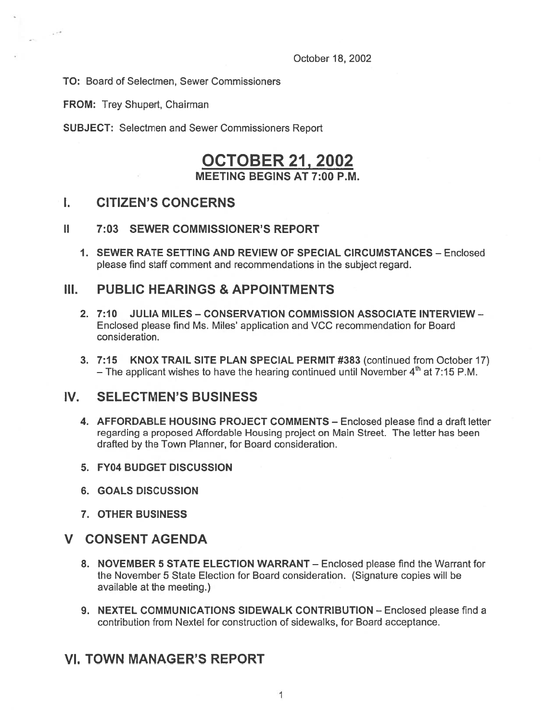October 18, 2002

TO: Board of Selectmen, Sewer Commissioners

FROM: Trey Shupert, Chairman

 $\label{eq:2.1} \frac{1}{\left|\mathbf{x}^{(n)}\right|} = \frac{1}{\left|\mathbf{x}^{(n)}\right|}$ 

SUBJECT: Selectmen and Sewer Commissioners Report

# OCTOBER21, 2002

MEETING BEGINS AT 7:00 P.M.

## I. CITIZEN'S CONCERNS

## II 7:03 SEWER COMMISSIONER'S REPORT

1. SEWER RATE SETTING AND REVIEW OF SPECIAL CIRCUMSTANCES — Enclosed please find staff comment and recommendations in the subject regard.

## III. PUBLIC HEARINGS & APPOINTMENTS

- 2. 7:10 JULIA MILES CONSERVATION COMMISSION ASSOCIATE INTERVIEW Enclosed please find Ms. Miles' application and VCC recommendation for Board consideration.
- 3. 7:15 KNOX TRAIL SITE PLAN SPECIAL PERMIT #383 (continued from October 17) – The applicant wishes to have the hearing continued until November  $4<sup>th</sup>$  at 7:15 P.M.

## IV. SELECTMEN'S BUSINESS

- 4. AFFORDABLE HOUSING PROJECT COMMENTS Enclosed please find a draft letter regarding <sup>a</sup> proposed Affordable Housing project on Main Street. The letter has been drafted by the Town Planner, for Board consideration.
- 5. FY04 BUDGET DISCUSSION
- 6. GOALS DISCUSSION
- 7. OTHER BUSINESS

## V CONSENT AGENDA

- 8. NOVEMBER 5 STATE ELECTION WARRANT Enclosed please find the Warrant for the November 5 State Election for Board consideration. (Signature copies will be available at the meeting.)
- 9. NEXTEL COMMUNICATIONS SIDEWALK CONTRIBUTION Enclosed please find <sup>a</sup> contribution from Nextel for construction of sidewalks, for Board acceptance.

## VI. TOWN MANAGER'S REPORT